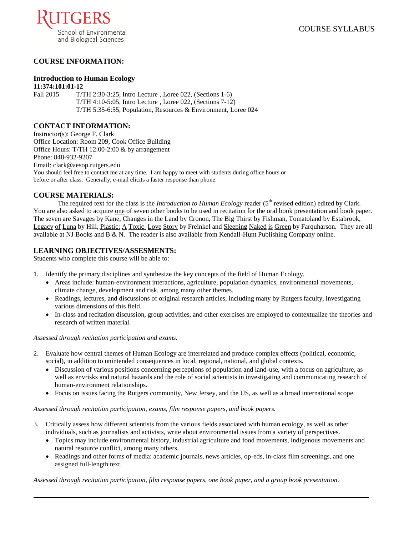

# **COURSE INFORMATION:**

# **Introduction to Human Ecology**

**11:374:101:01-12** Fall 2015 T/TH 2:30-3:25, Intro Lecture, Loree 022, (Sections 1-6) T/TH 4:10-5:05, Intro Lecture , Loree 022, (Sections 7-12) T/TH 5:35-6:55, Population, Resources & Environment, Loree 024

### **CONTACT INFORMATION:**

Instructor(s): George F. Clark Office Location: Room 209, Cook Office Building Office Hours: T/TH 12:00-2:00 & by arrangement Phone: 848-932-9207 Email: clark@aesop.rutgers.edu You should feel free to contact me at any time. I am happy to meet with students during office hours or before or after class. Generally, e-mail elicits a faster response than phone.

# **COURSE MATERIALS:**

The required text for the class is the *Introduction to Human Ecology* reader ( $5<sup>th</sup>$  revised edition) edited by Clark. You are also asked to acquire one of seven other books to be used in recitation for the oral book presentation and book paper. The seven are Savages by Kane, Changes in the Land by Cronon, The Big Thirst by Fishman, Tomatoland by Estabrook, Legacy of Luna by Hill, Plastic: A Toxic Love Story by Freinkel and Sleeping Naked is Green by Farquharson. They are all available at NJ Books and B & N. The reader is also available from Kendall-Hunt Publishing Company online.

# **LEARNING OBJECTIVES/ASSESMENTS:**

Students who complete this course will be able to:

- 1. Identify the primary disciplines and synthesize the key concepts of the field of Human Ecology,
	- Areas include: human-environment interactions, agriculture, population dynamics, environmental movements, climate change, development and risk, among many other themes.
	- Readings, lectures, and discussions of original research articles, including many by Rutgers faculty, investigating various dimensions of this field.
	- In-class and recitation discussion, group activities, and other exercises are employed to contextualize the theories and research of written material.

*Assessed through recitation participation and exams.*

- 2. Evaluate how central themes of Human Ecology are interrelated and produce complex effects (political, economic, social), in addition to unintended consequences in local, regional, national, and global contexts.
	- Discussion of various positions concerning perceptions of population and land-use, with a focus on agriculture, as well as envrisks and natural hazards and the role of social scientists in investigating and communicating research of human-environment relationships.
	- Focus on issues facing the Rutgers community, New Jersey, and the US, as well as a broad international scope.

*Assessed through recitation participation, exams, film response papers, and book papers.*

- 3. Critically assess how different scientists from the various fields associated with human ecology, as well as other individuals, such as journalists and activists, write about environmental issues from a variety of perspectives.
	- Topics may include environmental history, industrial agriculture and food movements, indigenous movements and natural resource conflict, among many others.
	- Readings and other forms of media: academic journals, news articles, op-eds, in-class film screenings, and one assigned full-length text.

*Assessed through recitation participation, film response papers, one book paper, and a group book presentation.*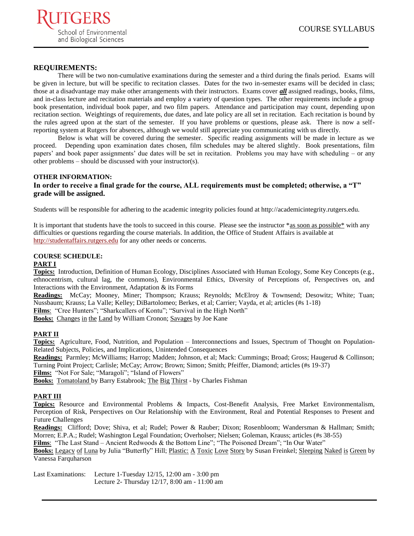

# **REQUIREMENTS:**

There will be two non-cumulative examinations during the semester and a third during the finals period. Exams will be given in lecture, but will be specific to recitation classes. Dates for the two in-semester exams will be decided in class; those at a disadvantage may make other arrangements with their instructors. Exams cover *all* assigned readings, books, films, and in-class lecture and recitation materials and employ a variety of question types. The other requirements include a group book presentation, individual book paper, and two film papers. Attendance and participation may count, depending upon recitation section. Weightings of requirements, due dates, and late policy are all set in recitation. Each recitation is bound by the rules agreed upon at the start of the semester. If you have problems or questions, please ask. There is now a selfreporting system at Rutgers for absences, although we would still appreciate you communicating with us directly.

Below is what will be covered during the semester. Specific reading assignments will be made in lecture as we proceed. Depending upon examination dates chosen, film schedules may be altered slightly. Book presentations, film papers' and book paper assignments' due dates will be set in recitation. Problems you may have with scheduling – or any other problems – should be discussed with your instructor(s).

#### **OTHER INFORMATION: In order to receive a final grade for the course, ALL requirements must be completed; otherwise, a "T" grade will be assigned.**

Students will be responsible for adhering to the academic integrity policies found at http://academicintegrity.rutgers.edu.

It is important that students have the tools to succeed in this course. Please see the instructor \*as soon as possible\* with any difficulties or questions regarding the course materials. In addition, the Office of Student Affairs is available at [http://studentaffairs.rutgers.edu](http://studentaffairs.rutgers.edu/) for any other needs or concerns.

# **COURSE SCHEDULE:**

#### **PART I**

**Topics:** Introduction, Definition of Human Ecology, Disciplines Associated with Human Ecology, Some Key Concepts (e.g., ethnocentrism, cultural lag, the commons), Environmental Ethics, Diversity of Perceptions of, Perspectives on, and Interactions with the Environment, Adaptation & its Forms

**Readings:** McCay; Mooney, Miner; Thompson; Krauss; Reynolds; McElroy & Townsend; Desowitz; White; Tuan; Nussbaum; Krauss; La Valle; Kelley; DiBartolomeo; Berkes, et al; Carrier; Vayda, et al; articles (#s 1-18)

Films: "Cree Hunters"; "Sharkcallers of Kontu"; "Survival in the High North"

**Books:** Changes in the Land by William Cronon; Savages by Joe Kane

### **PART II**

**Topics:** Agriculture, Food, Nutrition, and Population – Interconnections and Issues, Spectrum of Thought on Population-Related Subjects, Policies, and Implications, Unintended Consequences

**Readings:** Parmley; McWilliams; Harrop; Madden; Johnson, et al; Mack: Cummings; Broad; Gross; Haugerud & Collinson; Turning Point Project; Carlisle; McCay; Arrow; Brown; Simon; Smith; Pfeiffer, Diamond; articles (#s 19-37)

Films: "Not For Sale; "Maragoli"; "Island of Flowers"

**Books:** Tomatoland by Barry Estabrook; The Big Thirst - by Charles Fishman

# **PART III**

**Topics:** Resource and Environmental Problems & Impacts, Cost-Benefit Analysis, Free Market Environmentalism, Perception of Risk, Perspectives on Our Relationship with the Environment, Real and Potential Responses to Present and Future Challenges

**Readings:** Clifford; Dove; Shiva, et al; Rudel; Power & Rauber; Dixon; Rosenbloom; Wandersman & Hallman; Smith; Morren; E.P.A.; Rudel; Washington Legal Foundation; Overholser; Nielsen; Goleman, Krauss; articles (#s 38-55)

Films: "The Last Stand – Ancient Redwoods & the Bottom Line"; "The Poisoned Dream"; "In Our Water"

**Books:** Legacy of Luna by Julia "Butterfly" Hill; Plastic: A Toxic Love Story by Susan Freinkel; Sleeping Naked is Green by Vanessa Farquharson

Last Examinations: Lecture 1-Tuesday 12/15, 12:00 am - 3:00 pm Lecture 2- Thursday 12/17, 8:00 am - 11:00 am